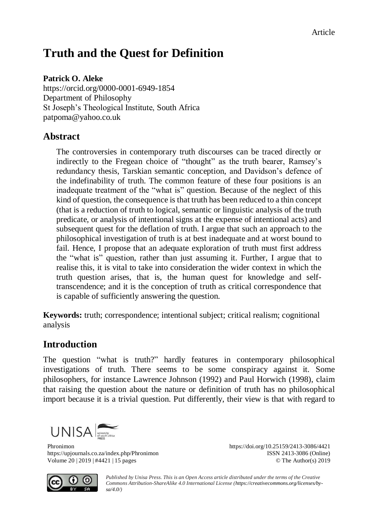# **Truth and the Quest for Definition**

#### **Patrick O. Aleke**

<https://orcid.org/0000-0001-6949-1854> Department of Philosophy St Joseph's Theological Institute, South Africa [patpoma@yahoo.co.uk](mailto:patpoma@yahoo.co.uk)

#### **Abstract**

The controversies in contemporary truth discourses can be traced directly or indirectly to the Fregean choice of "thought" as the truth bearer, Ramsey's redundancy thesis, Tarskian semantic conception, and Davidson's defence of the indefinability of truth. The common feature of these four positions is an inadequate treatment of the "what is" question. Because of the neglect of this kind of question, the consequence is that truth has been reduced to a thin concept (that is a reduction of truth to logical, semantic or linguistic analysis of the truth predicate, or analysis of intentional signs at the expense of intentional acts) and subsequent quest for the deflation of truth. I argue that such an approach to the philosophical investigation of truth is at best inadequate and at worst bound to fail. Hence, I propose that an adequate exploration of truth must first address the "what is" question, rather than just assuming it. Further, I argue that to realise this, it is vital to take into consideration the wider context in which the truth question arises, that is, the human quest for knowledge and selftranscendence; and it is the conception of truth as critical correspondence that is capable of sufficiently answering the question.

**Keywords:** truth; correspondence; intentional subject; critical realism; cognitional analysis

#### **Introduction**

The question "what is truth?" hardly features in contemporary philosophical investigations of truth. There seems to be some conspiracy against it. Some philosophers, for instance Lawrence Johnson (1992) and Paul Horwich (1998), claim that raising the question about the nature or definition of truth has no philosophical import because it is a trivial question. Put differently, their view is that with regard to



Phronimon https://doi.org/10.25159/2413-3086/4421<br>https://upjournals.co.za/index.php/Phronimon ISSN 2413-3086 (Online) https://upjournals.co.za/index.php/Phronimon Volume 20 | 2019 | #4421 | 15 pages © The Author(s) 2019



*Published by Unisa Press. This is an Open Access article distributed under the terms of the Creative Commons Attribution-ShareAlike 4.0 International License [\(https://creativecommons.org/licenses/by](https://creativecommons.org/licenses/by-sa/4.0/)[sa/4.0/\)](https://creativecommons.org/licenses/by-sa/4.0/)*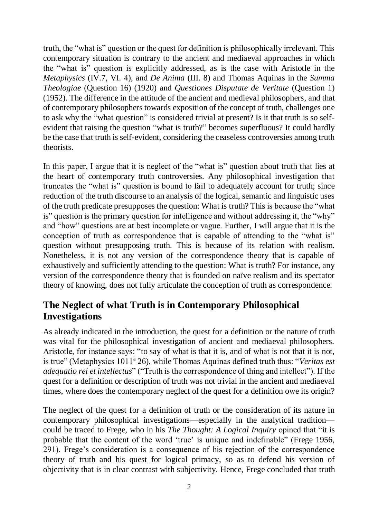truth, the "what is" question or the quest for definition is philosophically irrelevant. This contemporary situation is contrary to the ancient and mediaeval approaches in which the "what is" question is explicitly addressed, as is the case with Aristotle in the *Metaphysics* (IV.7, VI. 4), and *De Anima* (III. 8) and Thomas Aquinas in the *Summa Theologiae* (Question 16) (1920) and *Questiones Disputate de Veritate* (Question 1) (1952). The difference in the attitude of the ancient and medieval philosophers, and that of contemporary philosophers towards exposition of the concept of truth, challenges one to ask why the "what question" is considered trivial at present? Is it that truth is so selfevident that raising the question "what is truth?" becomes superfluous? It could hardly be the case that truth is self-evident, considering the ceaseless controversies among truth theorists.

In this paper, I argue that it is neglect of the "what is" question about truth that lies at the heart of contemporary truth controversies. Any philosophical investigation that truncates the "what is" question is bound to fail to adequately account for truth; since reduction of the truth discourse to an analysis of the logical, semantic and linguistic uses of the truth predicate presupposes the question: What is truth? This is because the "what is" question is the primary question for intelligence and without addressing it, the "why" and "how" questions are at best incomplete or vague. Further, I will argue that it is the conception of truth as correspondence that is capable of attending to the "what is" question without presupposing truth. This is because of its relation with realism. Nonetheless, it is not any version of the correspondence theory that is capable of exhaustively and sufficiently attending to the question: What is truth? For instance, any version of the correspondence theory that is founded on naïve realism and its spectator theory of knowing, does not fully articulate the conception of truth as correspondence.

### **The Neglect of what Truth is in Contemporary Philosophical Investigations**

As already indicated in the introduction, the quest for a definition or the nature of truth was vital for the philosophical investigation of ancient and mediaeval philosophers. Aristotle, for instance says: "to say of what is that it is, and of what is not that it is not, is true" (Metaphysics 1011<sup>a</sup> 26), while Thomas Aquinas defined truth thus: "Veritas est *adequatio rei et intellectus*" ("Truth is the correspondence of thing and intellect"). If the quest for a definition or description of truth was not trivial in the ancient and mediaeval times, where does the contemporary neglect of the quest for a definition owe its origin?

The neglect of the quest for a definition of truth or the consideration of its nature in contemporary philosophical investigations—especially in the analytical tradition could be traced to Frege, who in his *The Thought: A Logical Inquiry* opined that "it is probable that the content of the word 'true' is unique and indefinable" (Frege 1956, 291). Frege's consideration is a consequence of his rejection of the correspondence theory of truth and his quest for logical primacy, so as to defend his version of objectivity that is in clear contrast with subjectivity. Hence, Frege concluded that truth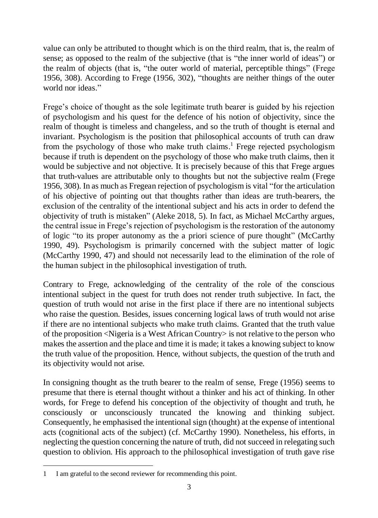value can only be attributed to thought which is on the third realm, that is, the realm of sense; as opposed to the realm of the subjective (that is "the inner world of ideas") or the realm of objects (that is, "the outer world of material, perceptible things" (Frege 1956, 308). According to Frege (1956, 302), "thoughts are neither things of the outer world nor ideas."

Frege's choice of thought as the sole legitimate truth bearer is guided by his rejection of psychologism and his quest for the defence of his notion of objectivity, since the realm of thought is timeless and changeless, and so the truth of thought is eternal and invariant. Psychologism is the position that philosophical accounts of truth can draw from the psychology of those who make truth claims. <sup>1</sup> Frege rejected psychologism because if truth is dependent on the psychology of those who make truth claims, then it would be subjective and not objective. It is precisely because of this that Frege argues that truth-values are attributable only to thoughts but not the subjective realm (Frege 1956, 308). In as much as Fregean rejection of psychologism is vital "for the articulation of his objective of pointing out that thoughts rather than ideas are truth-bearers, the exclusion of the centrality of the intentional subject and his acts in order to defend the objectivity of truth is mistaken" (Aleke 2018, 5). In fact, as Michael McCarthy argues, the central issue in Frege's rejection of psychologism is the restoration of the autonomy of logic "to its proper autonomy as the a priori science of pure thought" (McCarthy 1990, 49). Psychologism is primarily concerned with the subject matter of logic (McCarthy 1990, 47) and should not necessarily lead to the elimination of the role of the human subject in the philosophical investigation of truth.

Contrary to Frege, acknowledging of the centrality of the role of the conscious intentional subject in the quest for truth does not render truth subjective. In fact, the question of truth would not arise in the first place if there are no intentional subjects who raise the question. Besides, issues concerning logical laws of truth would not arise if there are no intentional subjects who make truth claims. Granted that the truth value of the proposition <Nigeria is a West African Country> is not relative to the person who makes the assertion and the place and time it is made; it takes a knowing subject to know the truth value of the proposition. Hence, without subjects, the question of the truth and its objectivity would not arise.

In consigning thought as the truth bearer to the realm of sense, Frege (1956) seems to presume that there is eternal thought without a thinker and his act of thinking. In other words, for Frege to defend his conception of the objectivity of thought and truth, he consciously or unconsciously truncated the knowing and thinking subject. Consequently, he emphasised the intentional sign (thought) at the expense of intentional acts (cognitional acts of the subject) (cf. McCarthy 1990). Nonetheless, his efforts, in neglecting the question concerning the nature of truth, did not succeed in relegating such question to oblivion. His approach to the philosophical investigation of truth gave rise

1

<sup>1</sup> I am grateful to the second reviewer for recommending this point.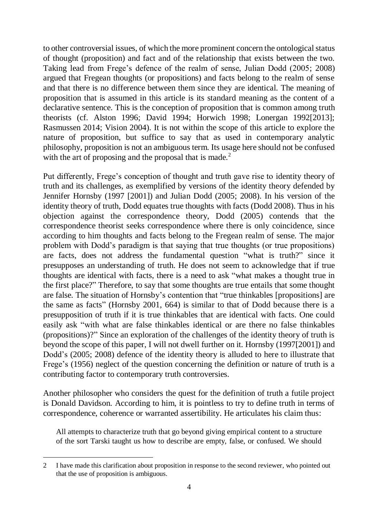to other controversial issues, of which the more prominent concern the ontological status of thought (proposition) and fact and of the relationship that exists between the two. Taking lead from Frege's defence of the realm of sense, Julian Dodd (2005; 2008) argued that Fregean thoughts (or propositions) and facts belong to the realm of sense and that there is no difference between them since they are identical. The meaning of proposition that is assumed in this article is its standard meaning as the content of a declarative sentence. This is the conception of proposition that is common among truth theorists (cf. Alston 1996; David 1994; Horwich 1998; Lonergan 1992[2013]; Rasmussen 2014; Vision 2004). It is not within the scope of this article to explore the nature of proposition, but suffice to say that as used in contemporary analytic philosophy, proposition is not an ambiguous term. Its usage here should not be confused with the art of proposing and the proposal that is made.<sup>2</sup>

Put differently, Frege's conception of thought and truth gave rise to identity theory of truth and its challenges, as exemplified by versions of the identity theory defended by Jennifer Hornsby (1997 [2001]) and Julian Dodd (2005; 2008). In his version of the identity theory of truth, Dodd equates true thoughts with facts (Dodd 2008). Thus in his objection against the correspondence theory, Dodd (2005) contends that the correspondence theorist seeks correspondence where there is only coincidence, since according to him thoughts and facts belong to the Fregean realm of sense. The major problem with Dodd's paradigm is that saying that true thoughts (or true propositions) are facts, does not address the fundamental question "what is truth?" since it presupposes an understanding of truth. He does not seem to acknowledge that if true thoughts are identical with facts, there is a need to ask "what makes a thought true in the first place?" Therefore, to say that some thoughts are true entails that some thought are false. The situation of Hornsby's contention that "true thinkables [propositions] are the same as facts" (Hornsby 2001, 664) is similar to that of Dodd because there is a presupposition of truth if it is true thinkables that are identical with facts. One could easily ask "with what are false thinkables identical or are there no false thinkables (propositions)?" Since an exploration of the challenges of the identity theory of truth is beyond the scope of this paper, I will not dwell further on it. Hornsby (1997[2001]) and Dodd's (2005; 2008) defence of the identity theory is alluded to here to illustrate that Frege's (1956) neglect of the question concerning the definition or nature of truth is a contributing factor to contemporary truth controversies.

Another philosopher who considers the quest for the definition of truth a futile project is Donald Davidson. According to him, it is pointless to try to define truth in terms of correspondence, coherence or warranted assertibility. He articulates his claim thus:

All attempts to characterize truth that go beyond giving empirical content to a structure of the sort Tarski taught us how to describe are empty, false, or confused. We should

-

<sup>2</sup> I have made this clarification about proposition in response to the second reviewer, who pointed out that the use of proposition is ambiguous.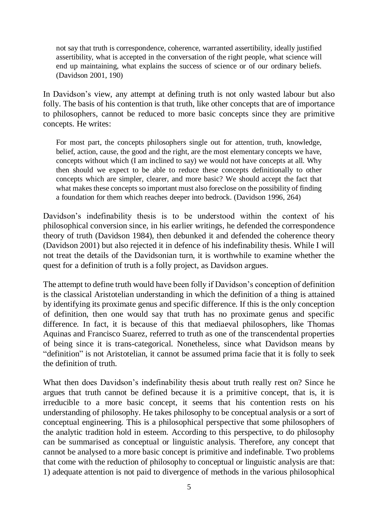not say that truth is correspondence, coherence, warranted assertibility, ideally justified assertibility, what is accepted in the conversation of the right people, what science will end up maintaining, what explains the success of science or of our ordinary beliefs. (Davidson 2001, 190)

In Davidson's view, any attempt at defining truth is not only wasted labour but also folly. The basis of his contention is that truth, like other concepts that are of importance to philosophers, cannot be reduced to more basic concepts since they are primitive concepts. He writes:

For most part, the concepts philosophers single out for attention, truth, knowledge, belief, action, cause, the good and the right, are the most elementary concepts we have, concepts without which (I am inclined to say) we would not have concepts at all. Why then should we expect to be able to reduce these concepts definitionally to other concepts which are simpler, clearer, and more basic? We should accept the fact that what makes these concepts so important must also foreclose on the possibility of finding a foundation for them which reaches deeper into bedrock. (Davidson 1996, 264)

Davidson's indefinability thesis is to be understood within the context of his philosophical conversion since, in his earlier writings, he defended the correspondence theory of truth (Davidson 1984), then debunked it and defended the coherence theory (Davidson 2001) but also rejected it in defence of his indefinability thesis. While I will not treat the details of the Davidsonian turn, it is worthwhile to examine whether the quest for a definition of truth is a folly project, as Davidson argues.

The attempt to define truth would have been folly if Davidson's conception of definition is the classical Aristotelian understanding in which the definition of a thing is attained by identifying its proximate genus and specific difference. If this is the only conception of definition, then one would say that truth has no proximate genus and specific difference. In fact, it is because of this that mediaeval philosophers, like Thomas Aquinas and Francisco Suarez, referred to truth as one of the transcendental properties of being since it is trans-categorical. Nonetheless, since what Davidson means by "definition" is not Aristotelian, it cannot be assumed prima facie that it is folly to seek the definition of truth.

What then does Davidson's indefinability thesis about truth really rest on? Since he argues that truth cannot be defined because it is a primitive concept, that is, it is irreducible to a more basic concept, it seems that his contention rests on his understanding of philosophy. He takes philosophy to be conceptual analysis or a sort of conceptual engineering. This is a philosophical perspective that some philosophers of the analytic tradition hold in esteem. According to this perspective, to do philosophy can be summarised as conceptual or linguistic analysis. Therefore, any concept that cannot be analysed to a more basic concept is primitive and indefinable. Two problems that come with the reduction of philosophy to conceptual or linguistic analysis are that: 1) adequate attention is not paid to divergence of methods in the various philosophical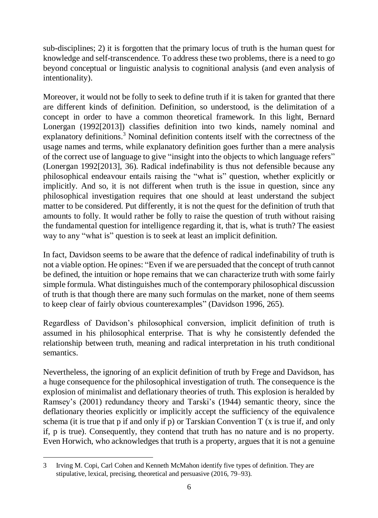sub-disciplines; 2) it is forgotten that the primary locus of truth is the human quest for knowledge and self-transcendence. To address these two problems, there is a need to go beyond conceptual or linguistic analysis to cognitional analysis (and even analysis of intentionality).

Moreover, it would not be folly to seek to define truth if it is taken for granted that there are different kinds of definition. Definition, so understood, is the delimitation of a concept in order to have a common theoretical framework. In this light, Bernard Lonergan (1992[2013]) classifies definition into two kinds, namely nominal and explanatory definitions.<sup>3</sup> Nominal definition contents itself with the correctness of the usage names and terms, while explanatory definition goes further than a mere analysis of the correct use of language to give "insight into the objects to which language refers" (Lonergan 1992[2013], 36). Radical indefinability is thus not defensible because any philosophical endeavour entails raising the "what is" question, whether explicitly or implicitly. And so, it is not different when truth is the issue in question, since any philosophical investigation requires that one should at least understand the subject matter to be considered. Put differently, it is not the quest for the definition of truth that amounts to folly. It would rather be folly to raise the question of truth without raising the fundamental question for intelligence regarding it, that is, what is truth? The easiest way to any "what is" question is to seek at least an implicit definition.

In fact, Davidson seems to be aware that the defence of radical indefinability of truth is not a viable option. He opines: "Even if we are persuaded that the concept of truth cannot be defined, the intuition or hope remains that we can characterize truth with some fairly simple formula. What distinguishes much of the contemporary philosophical discussion of truth is that though there are many such formulas on the market, none of them seems to keep clear of fairly obvious counterexamples" (Davidson 1996, 265).

Regardless of Davidson's philosophical conversion, implicit definition of truth is assumed in his philosophical enterprise. That is why he consistently defended the relationship between truth, meaning and radical interpretation in his truth conditional semantics.

Nevertheless, the ignoring of an explicit definition of truth by Frege and Davidson, has a huge consequence for the philosophical investigation of truth. The consequence is the explosion of minimalist and deflationary theories of truth. This explosion is heralded by Ramsey's (2001) redundancy theory and Tarski's (1944) semantic theory, since the deflationary theories explicitly or implicitly accept the sufficiency of the equivalence schema (it is true that p if and only if p) or Tarskian Convention T (x is true if, and only if, p is true). Consequently, they contend that truth has no nature and is no property. Even Horwich, who acknowledges that truth is a property, argues that it is not a genuine

-

<sup>3</sup> Irving M. Copi, Carl Cohen and Kenneth McMahon identify five types of definition. They are stipulative, lexical, precising, theoretical and persuasive (2016, 79–93).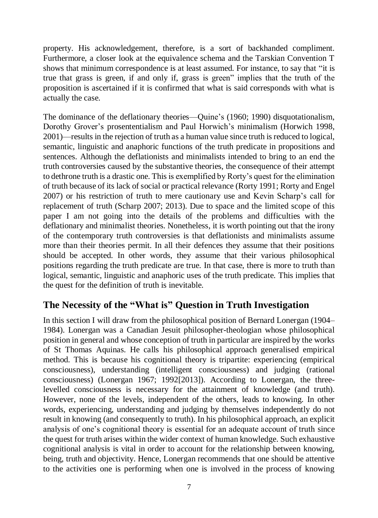property. His acknowledgement, therefore, is a sort of backhanded compliment. Furthermore, a closer look at the equivalence schema and the Tarskian Convention T shows that minimum correspondence is at least assumed. For instance, to say that "it is true that grass is green, if and only if, grass is green" implies that the truth of the proposition is ascertained if it is confirmed that what is said corresponds with what is actually the case.

The dominance of the deflationary theories—Quine's (1960; 1990) disquotationalism, Dorothy Grover's prosententialism and Paul Horwich's minimalism (Horwich 1998, 2001)—results in the rejection of truth as a human value since truth is reduced to logical, semantic, linguistic and anaphoric functions of the truth predicate in propositions and sentences. Although the deflationists and minimalists intended to bring to an end the truth controversies caused by the substantive theories, the consequence of their attempt to dethrone truth is a drastic one. This is exemplified by Rorty's quest for the elimination of truth because of its lack of social or practical relevance (Rorty 1991; Rorty and Engel 2007) or his restriction of truth to mere cautionary use and Kevin Scharp's call for replacement of truth (Scharp 2007; 2013). Due to space and the limited scope of this paper I am not going into the details of the problems and difficulties with the deflationary and minimalist theories. Nonetheless, it is worth pointing out that the irony of the contemporary truth controversies is that deflationists and minimalists assume more than their theories permit. In all their defences they assume that their positions should be accepted. In other words, they assume that their various philosophical positions regarding the truth predicate are true. In that case, there is more to truth than logical, semantic, linguistic and anaphoric uses of the truth predicate. This implies that the quest for the definition of truth is inevitable.

### **The Necessity of the "What is" Question in Truth Investigation**

In this section I will draw from the philosophical position of Bernard Lonergan (1904– 1984). Lonergan was a Canadian Jesuit philosopher-theologian whose philosophical position in general and whose conception of truth in particular are inspired by the works of St Thomas Aquinas. He calls his philosophical approach generalised empirical method. This is because his cognitional theory is tripartite: experiencing (empirical consciousness), understanding (intelligent consciousness) and judging (rational consciousness) (Lonergan 1967; 1992[2013]). According to Lonergan, the threelevelled consciousness is necessary for the attainment of knowledge (and truth). However, none of the levels, independent of the others, leads to knowing. In other words, experiencing, understanding and judging by themselves independently do not result in knowing (and consequently to truth). In his philosophical approach, an explicit analysis of one's cognitional theory is essential for an adequate account of truth since the quest for truth arises within the wider context of human knowledge. Such exhaustive cognitional analysis is vital in order to account for the relationship between knowing, being, truth and objectivity. Hence, Lonergan recommends that one should be attentive to the activities one is performing when one is involved in the process of knowing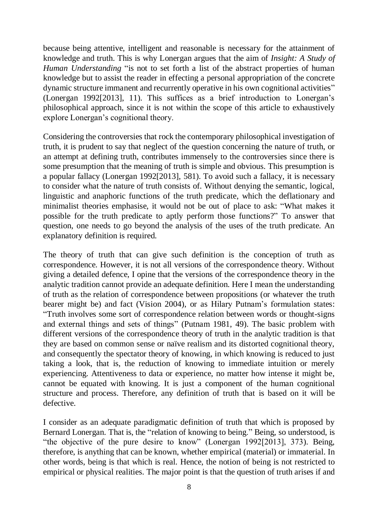because being attentive, intelligent and reasonable is necessary for the attainment of knowledge and truth. This is why Lonergan argues that the aim of *Insight: A Study of Human Understanding* "is not to set forth a list of the abstract properties of human knowledge but to assist the reader in effecting a personal appropriation of the concrete dynamic structure immanent and recurrently operative in his own cognitional activities" (Lonergan 1992[2013], 11). This suffices as a brief introduction to Lonergan's philosophical approach, since it is not within the scope of this article to exhaustively explore Lonergan's cognitional theory.

Considering the controversies that rock the contemporary philosophical investigation of truth, it is prudent to say that neglect of the question concerning the nature of truth, or an attempt at defining truth, contributes immensely to the controversies since there is some presumption that the meaning of truth is simple and obvious. This presumption is a popular fallacy (Lonergan 1992[2013], 581). To avoid such a fallacy, it is necessary to consider what the nature of truth consists of. Without denying the semantic, logical, linguistic and anaphoric functions of the truth predicate, which the deflationary and minimalist theories emphasise, it would not be out of place to ask: "What makes it possible for the truth predicate to aptly perform those functions?" To answer that question, one needs to go beyond the analysis of the uses of the truth predicate. An explanatory definition is required.

The theory of truth that can give such definition is the conception of truth as correspondence. However, it is not all versions of the correspondence theory. Without giving a detailed defence, I opine that the versions of the correspondence theory in the analytic tradition cannot provide an adequate definition. Here I mean the understanding of truth as the relation of correspondence between propositions (or whatever the truth bearer might be) and fact (Vision 2004), or as Hilary Putnam's formulation states: "Truth involves some sort of correspondence relation between words or thought-signs and external things and sets of things" (Putnam 1981, 49). The basic problem with different versions of the correspondence theory of truth in the analytic tradition is that they are based on common sense or naïve realism and its distorted cognitional theory, and consequently the spectator theory of knowing, in which knowing is reduced to just taking a look, that is, the reduction of knowing to immediate intuition or merely experiencing. Attentiveness to data or experience, no matter how intense it might be, cannot be equated with knowing. It is just a component of the human cognitional structure and process. Therefore, any definition of truth that is based on it will be defective.

I consider as an adequate paradigmatic definition of truth that which is proposed by Bernard Lonergan. That is, the "relation of knowing to being." Being, so understood, is "the objective of the pure desire to know" (Lonergan 1992[2013], 373). Being, therefore, is anything that can be known, whether empirical (material) or immaterial. In other words, being is that which is real. Hence, the notion of being is not restricted to empirical or physical realities. The major point is that the question of truth arises if and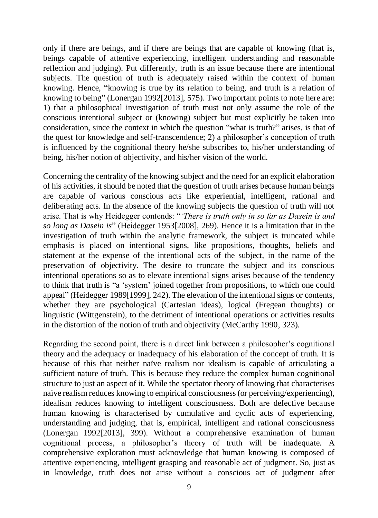only if there are beings, and if there are beings that are capable of knowing (that is, beings capable of attentive experiencing, intelligent understanding and reasonable reflection and judging). Put differently, truth is an issue because there are intentional subjects. The question of truth is adequately raised within the context of human knowing. Hence, "knowing is true by its relation to being, and truth is a relation of knowing to being" (Lonergan 1992[2013], 575). Two important points to note here are: 1) that a philosophical investigation of truth must not only assume the role of the conscious intentional subject or (knowing) subject but must explicitly be taken into consideration, since the context in which the question "what is truth?" arises, is that of the quest for knowledge and self-transcendence; 2) a philosopher's conception of truth is influenced by the cognitional theory he/she subscribes to, his/her understanding of being, his/her notion of objectivity, and his/her vision of the world.

Concerning the centrality of the knowing subject and the need for an explicit elaboration of his activities, it should be noted that the question of truth arises because human beings are capable of various conscious acts like experiential, intelligent, rational and deliberating acts. In the absence of the knowing subjects the question of truth will not arise. That is why Heidegger contends: "*'There is truth only in so far as Dasein is and so long as Dasein is*" (Heidegger 1953[2008], 269). Hence it is a limitation that in the investigation of truth within the analytic framework, the subject is truncated while emphasis is placed on intentional signs, like propositions, thoughts, beliefs and statement at the expense of the intentional acts of the subject, in the name of the preservation of objectivity. The desire to truncate the subject and its conscious intentional operations so as to elevate intentional signs arises because of the tendency to think that truth is "a 'system' joined together from propositions, to which one could appeal" (Heidegger 1989[1999], 242). The elevation of the intentional signs or contents, whether they are psychological (Cartesian ideas), logical (Fregean thoughts) or linguistic (Wittgenstein), to the detriment of intentional operations or activities results in the distortion of the notion of truth and objectivity (McCarthy 1990, 323).

Regarding the second point, there is a direct link between a philosopher's cognitional theory and the adequacy or inadequacy of his elaboration of the concept of truth. It is because of this that neither naïve realism nor idealism is capable of articulating a sufficient nature of truth. This is because they reduce the complex human cognitional structure to just an aspect of it. While the spectator theory of knowing that characterises naïve realism reduces knowing to empirical consciousness (or perceiving/experiencing), idealism reduces knowing to intelligent consciousness. Both are defective because human knowing is characterised by cumulative and cyclic acts of experiencing, understanding and judging, that is, empirical, intelligent and rational consciousness (Lonergan 1992[2013], 399). Without a comprehensive examination of human cognitional process, a philosopher's theory of truth will be inadequate. A comprehensive exploration must acknowledge that human knowing is composed of attentive experiencing, intelligent grasping and reasonable act of judgment. So, just as in knowledge, truth does not arise without a conscious act of judgment after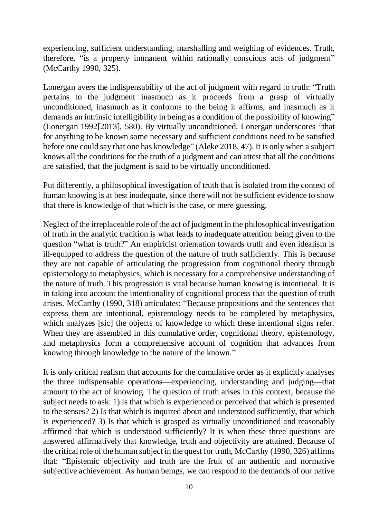experiencing, sufficient understanding, marshalling and weighing of evidences. Truth, therefore, "is a property immanent within rationally conscious acts of judgment" (McCarthy 1990, 325).

Lonergan avers the indispensability of the act of judgment with regard to truth: "Truth pertains to the judgment inasmuch as it proceeds from a grasp of virtually unconditioned, inasmuch as it conforms to the being it affirms, and inasmuch as it demands an intrinsic intelligibility in being as a condition of the possibility of knowing" (Lonergan 1992[2013], 580). By virtually unconditioned, Lonergan underscores "that for anything to be known some necessary and sufficient conditions need to be satisfied before one could say that one has knowledge" (Aleke 2018, 47). It is only when a subject knows all the conditions for the truth of a judgment and can attest that all the conditions are satisfied, that the judgment is said to be virtually unconditioned.

Put differently, a philosophical investigation of truth that is isolated from the context of human knowing is at best inadequate, since there will not be sufficient evidence to show that there is knowledge of that which is the case, or mere guessing.

Neglect of the irreplaceable role of the act of judgment in the philosophical investigation of truth in the analytic tradition is what leads to inadequate attention being given to the question "what is truth?" An empiricist orientation towards truth and even idealism is ill-equipped to address the question of the nature of truth sufficiently. This is because they are not capable of articulating the progression from cognitional theory through epistemology to metaphysics, which is necessary for a comprehensive understanding of the nature of truth. This progression is vital because human knowing is intentional. It is in taking into account the intentionality of cognitional process that the question of truth arises. McCarthy (1990, 318) articulates: "Because propositions and the sentences that express them are intentional, epistemology needs to be completed by metaphysics, which analyzes [sic] the objects of knowledge to which these intentional signs refer. When they are assembled in this cumulative order, cognitional theory, epistemology, and metaphysics form a comprehensive account of cognition that advances from knowing through knowledge to the nature of the known."

It is only critical realism that accounts for the cumulative order as it explicitly analyses the three indispensable operations—experiencing, understanding and judging—that amount to the act of knowing. The question of truth arises in this context, because the subject needs to ask: 1) Is that which is experienced or perceived that which is presented to the senses? 2) Is that which is inquired about and understood sufficiently, that which is experienced? 3) Is that which is grasped as virtually unconditioned and reasonably affirmed that which is understood sufficiently? It is when these three questions are answered affirmatively that knowledge, truth and objectivity are attained. Because of the critical role of the human subject in the quest for truth, McCarthy (1990, 326) affirms that: "Epistemic objectivity and truth are the fruit of an authentic and normative subjective achievement. As human beings, we can respond to the demands of our native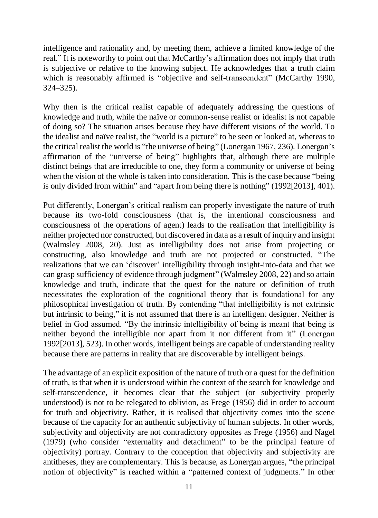intelligence and rationality and, by meeting them, achieve a limited knowledge of the real." It is noteworthy to point out that McCarthy's affirmation does not imply that truth is subjective or relative to the knowing subject. He acknowledges that a truth claim which is reasonably affirmed is "objective and self-transcendent" (McCarthy 1990, 324–325).

Why then is the critical realist capable of adequately addressing the questions of knowledge and truth, while the naïve or common-sense realist or idealist is not capable of doing so? The situation arises because they have different visions of the world. To the idealist and naïve realist, the "world is a picture" to be seen or looked at, whereas to the critical realist the world is "the universe of being" (Lonergan 1967, 236). Lonergan's affirmation of the "universe of being" highlights that, although there are multiple distinct beings that are irreducible to one, they form a community or universe of being when the vision of the whole is taken into consideration. This is the case because "being is only divided from within" and "apart from being there is nothing" (1992[2013], 401).

Put differently, Lonergan's critical realism can properly investigate the nature of truth because its two-fold consciousness (that is, the intentional consciousness and consciousness of the operations of agent) leads to the realisation that intelligibility is neither projected nor constructed, but discovered in data as a result of inquiry and insight (Walmsley 2008, 20). Just as intelligibility does not arise from projecting or constructing, also knowledge and truth are not projected or constructed. "The realizations that we can 'discover' intelligibility through insight-into-data and that we can grasp sufficiency of evidence through judgment" (Walmsley 2008, 22) and so attain knowledge and truth, indicate that the quest for the nature or definition of truth necessitates the exploration of the cognitional theory that is foundational for any philosophical investigation of truth. By contending "that intelligibility is not extrinsic but intrinsic to being," it is not assumed that there is an intelligent designer. Neither is belief in God assumed. "By the intrinsic intelligibility of being is meant that being is neither beyond the intelligible nor apart from it nor different from it" (Lonergan 1992[2013], 523). In other words, intelligent beings are capable of understanding reality because there are patterns in reality that are discoverable by intelligent beings.

The advantage of an explicit exposition of the nature of truth or a quest for the definition of truth, is that when it is understood within the context of the search for knowledge and self-transcendence, it becomes clear that the subject (or subjectivity properly understood) is not to be relegated to oblivion, as Frege (1956) did in order to account for truth and objectivity. Rather, it is realised that objectivity comes into the scene because of the capacity for an authentic subjectivity of human subjects. In other words, subjectivity and objectivity are not contradictory opposites as Frege (1956) and Nagel (1979) (who consider "externality and detachment" to be the principal feature of objectivity) portray. Contrary to the conception that objectivity and subjectivity are antitheses, they are complementary. This is because, as Lonergan argues, "the principal notion of objectivity" is reached within a "patterned context of judgments." In other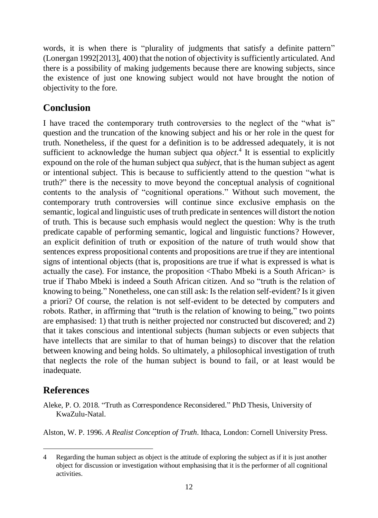words, it is when there is "plurality of judgments that satisfy a definite pattern" (Lonergan 1992[2013], 400) that the notion of objectivity is sufficiently articulated. And there is a possibility of making judgements because there are knowing subjects, since the existence of just one knowing subject would not have brought the notion of objectivity to the fore.

## **Conclusion**

I have traced the contemporary truth controversies to the neglect of the "what is" question and the truncation of the knowing subject and his or her role in the quest for truth. Nonetheless, if the quest for a definition is to be addressed adequately, it is not sufficient to acknowledge the human subject qua *object*. 4 It is essential to explicitly expound on the role of the human subject qua *subject*, that is the human subject as agent or intentional subject. This is because to sufficiently attend to the question "what is truth?" there is the necessity to move beyond the conceptual analysis of cognitional contents to the analysis of "cognitional operations." Without such movement, the contemporary truth controversies will continue since exclusive emphasis on the semantic, logical and linguistic uses of truth predicate in sentences will distort the notion of truth. This is because such emphasis would neglect the question: Why is the truth predicate capable of performing semantic, logical and linguistic functions? However, an explicit definition of truth or exposition of the nature of truth would show that sentences express propositional contents and propositions are true if they are intentional signs of intentional objects (that is, propositions are true if what is expressed is what is actually the case). For instance, the proposition <Thabo Mbeki is a South African> is true if Thabo Mbeki is indeed a South African citizen. And so "truth is the relation of knowing to being." Nonetheless, one can still ask: Is the relation self-evident? Is it given a priori? Of course, the relation is not self-evident to be detected by computers and robots. Rather, in affirming that "truth is the relation of knowing to being," two points are emphasised: 1) that truth is neither projected nor constructed but discovered; and 2) that it takes conscious and intentional subjects (human subjects or even subjects that have intellects that are similar to that of human beings) to discover that the relation between knowing and being holds. So ultimately, a philosophical investigation of truth that neglects the role of the human subject is bound to fail, or at least would be inadequate.

### **References**

Aleke, P. O. 2018. "Truth as Correspondence Reconsidered." PhD Thesis, University of KwaZulu-Natal.

Alston, W. P. 1996. *A Realist Conception of Truth*. Ithaca, London: Cornell University Press.

<sup>1</sup> 4 Regarding the human subject as object is the attitude of exploring the subject as if it is just another object for discussion or investigation without emphasising that it is the performer of all cognitional activities.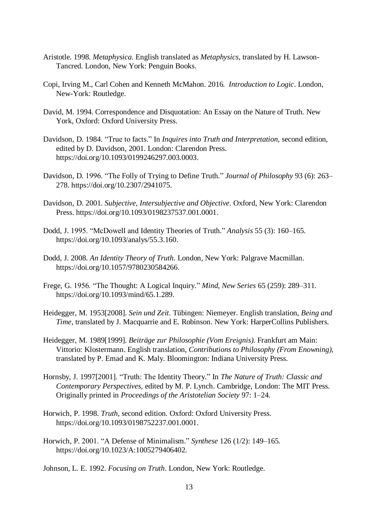- Aristotle. 1998. *Metaphysica*. English translated as *Metaphysics*, translated by H. Lawson-Tancred. London, New York: Penguin Books.
- Copi, Irving M., Carl Cohen and Kenneth McMahon. 2016*. Introduction to Logic*. London, New-York: Routledge.
- David, M. 1994. Correspondence and Disquotation: An Essay on the Nature of Truth. New York, Oxford: Oxford University Press.
- Davidson, D. 1984. "True to facts." In *Inquires into Truth and Interpretation*, second edition, edited by D. Davidson, 2001. London: Clarendon Press. [https://doi.org/10.1093/0199246297.003.0003.](https://doi.org/10.1093/0199246297.003.0003)
- Davidson, D. 1996. "The Folly of Trying to Define Truth." *Journal of Philosophy* 93 (6): 263– 278. [https://doi.org/10.2307/2941075.](https://doi.org/10.2307/2941075)
- Davidson, D. 2001. *Subjective, Intersubjective and Objective*. Oxford, New York: Clarendon Press. [https://doi.org/10.1093/0198237537.001.0001.](https://doi.org/10.1093/0198237537.001.0001)
- Dodd, J. 1995. "McDowell and Identity Theories of Truth." *Analysis* 55 (3): 160–165. [https://doi.org/10.1093/analys/55.3.160.](https://doi.org/10.1093/analys/55.3.160)
- Dodd, J. 2008. *An Identity Theory of Truth*. London, New York: Palgrave Macmillan. [https://doi.org/10.1057/9780230584266.](https://doi.org/10.1057/9780230584266)
- Frege, G. 1956. "The Thought: A Logical Inquiry." *Mind, New Series* 65 (259): 289–311. [https://doi.org/10.1093/mind/65.1.289.](https://doi.org/10.1093/mind/65.1.289)
- Heidegger, M. 1953[2008]. *Sein und Zeit*. Tübingen: Niemeyer. English translation, *Being and Time*, translated by J. Macquarrie and E. Robinson. New York: HarperCollins Publishers.
- Heidegger, M. 1989[1999]. *Beiträge zur Philosophie (Vom Ereignis)*. Frankfurt am Main: Vittorio: Klostermann. English translation, *Contributions to Philosophy (From Enowning)*, translated by P. Emad and K. Maly. Bloomington: Indiana University Press.
- Hornsby, J. 1997[2001]. "Truth: The Identity Theory." In *The Nature of Truth: Classic and Contemporary Perspectives*, edited by M. P. Lynch. Cambridge, London: The MIT Press. Originally printed in *Proceedings of the Aristotelian Society* 97: 1–24.
- Horwich, P. 1998. *Truth,* second edition. Oxford: Oxford University Press. [https://doi.org/10.1093/0198752237.001.0001.](https://doi.org/10.1093/0198752237.001.0001)
- Horwich, P. 2001. "A Defense of Minimalism." *Synthese* 126 (1/2): 149–165. [https://doi.org/10.1023/A:1005279406402.](https://doi.org/10.1023/A:1005279406402)
- Johnson, L. E. 1992. *Focusing on Truth*. London, New York: Routledge.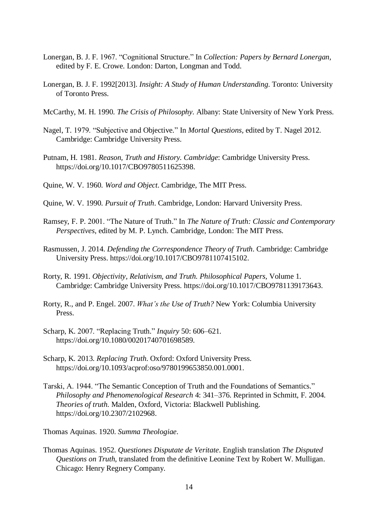- Lonergan, B. J. F. 1967. "Cognitional Structure." In *Collection: Papers by Bernard Lonergan,*  edited by F. E. Crowe. London: Darton, Longman and Todd.
- Lonergan, B. J. F. 1992[2013]. *Insight: A Study of Human Understanding*. Toronto: University of Toronto Press.
- McCarthy, M. H. 1990. *The Crisis of Philosophy*. Albany: State University of New York Press.
- Nagel, T. 1979. "Subjective and Objective." In *Mortal Questions,* edited by T. Nagel 2012. Cambridge: Cambridge University Press.
- Putnam, H. 1981. *Reason, Truth and History. Cambridge*: Cambridge University Press. [https://doi.org/10.1017/CBO9780511625398.](https://doi.org/10.1017/CBO9780511625398)
- Quine, W. V. 1960. *Word and Object*. Cambridge, The MIT Press.
- Quine, W. V. 1990. *Pursuit of Truth*. Cambridge, London: Harvard University Press.
- Ramsey, F. P. 2001. "The Nature of Truth." In *The Nature of Truth: Classic and Contemporary Perspectives*, edited by M. P. Lynch. Cambridge, London: The MIT Press.
- Rasmussen, J. 2014. *Defending the Correspondence Theory of Truth*. Cambridge: Cambridge University Press[. https://doi.org/10.1017/CBO9781107415102.](https://doi.org/10.1017/CBO9781107415102)
- Rorty, R. 1991. *Objectivity, Relativism, and Truth. Philosophical Papers,* Volume 1. Cambridge: Cambridge University Press. [https://doi.org/10.1017/CBO9781139173643.](https://doi.org/10.1017/CBO9781139173643)
- Rorty, R., and P. Engel. 2007. *What's the Use of Truth?* New York: Columbia University Press.
- Scharp, K. 2007. "Replacing Truth." *Inquiry* 50: 606–621. [https://doi.org/10.1080/00201740701698589.](https://doi.org/10.1080/00201740701698589)
- Scharp, K. 2013. *Replacing Truth*. Oxford: Oxford University Press. [https://doi.org/10.1093/acprof:oso/9780199653850.001.0001.](https://doi.org/10.1093/acprof:oso/9780199653850.001.0001)
- Tarski, A. 1944. "The Semantic Conception of Truth and the Foundations of Semantics." *Philosophy and Phenomenological Research* 4: 341–376. Reprinted in Schmitt, F. 2004. *Theories of truth*. Malden, Oxford, Victoria: Blackwell Publishing. [https://doi.org/10.2307/2102968.](https://doi.org/10.2307/2102968)

Thomas Aquinas. 1920. *Summa Theologiae*.

Thomas Aquinas. 1952. *Questiones Disputate de Veritate*. English translation *The Disputed Questions on Truth*, translated from the definitive Leonine Text by Robert W. Mulligan. Chicago: Henry Regnery Company.